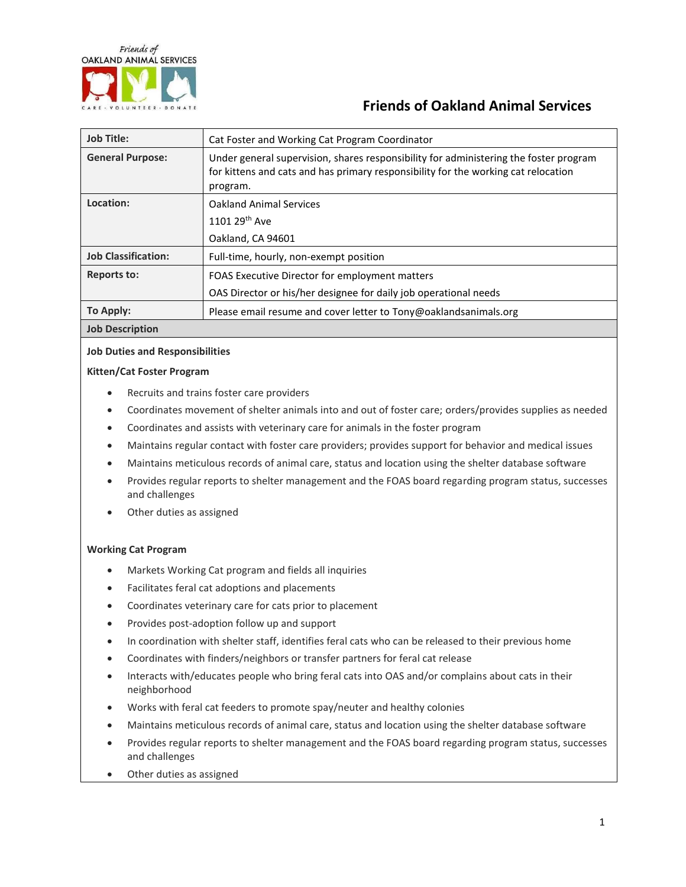

# **Friends of Oakland Animal Services**

| <b>Job Title:</b>          | Cat Foster and Working Cat Program Coordinator                                                                                                                                          |
|----------------------------|-----------------------------------------------------------------------------------------------------------------------------------------------------------------------------------------|
| <b>General Purpose:</b>    | Under general supervision, shares responsibility for administering the foster program<br>for kittens and cats and has primary responsibility for the working cat relocation<br>program. |
| Location:                  | <b>Oakland Animal Services</b>                                                                                                                                                          |
|                            | 1101 29 <sup>th</sup> Ave                                                                                                                                                               |
|                            | Oakland, CA 94601                                                                                                                                                                       |
| <b>Job Classification:</b> | Full-time, hourly, non-exempt position                                                                                                                                                  |
| <b>Reports to:</b>         | FOAS Executive Director for employment matters                                                                                                                                          |
|                            | OAS Director or his/her designee for daily job operational needs                                                                                                                        |
| To Apply:                  | Please email resume and cover letter to Tony@oaklandsanimals.org                                                                                                                        |
| <b>Job Description</b>     |                                                                                                                                                                                         |

## **Job Duties and Responsibilities**

### **Kitten/Cat Foster Program**

- Recruits and trains foster care providers
- Coordinates movement of shelter animals into and out of foster care; orders/provides supplies as needed
- Coordinates and assists with veterinary care for animals in the foster program
- Maintains regular contact with foster care providers; provides support for behavior and medical issues
- Maintains meticulous records of animal care, status and location using the shelter database software
- Provides regular reports to shelter management and the FOAS board regarding program status, successes and challenges
- Other duties as assigned

#### **Working Cat Program**

- Markets Working Cat program and fields all inquiries
- Facilitates feral cat adoptions and placements
- Coordinates veterinary care for cats prior to placement
- Provides post-adoption follow up and support
- In coordination with shelter staff, identifies feral cats who can be released to their previous home
- Coordinates with finders/neighbors or transfer partners for feral cat release
- Interacts with/educates people who bring feral cats into OAS and/or complains about cats in their neighborhood
- Works with feral cat feeders to promote spay/neuter and healthy colonies
- Maintains meticulous records of animal care, status and location using the shelter database software
- Provides regular reports to shelter management and the FOAS board regarding program status, successes and challenges
- Other duties as assigned